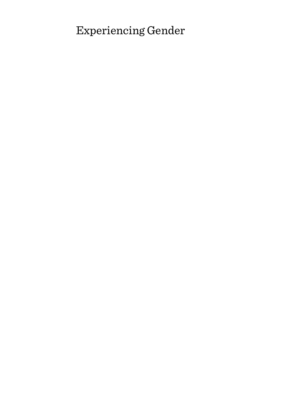# Experiencing Gender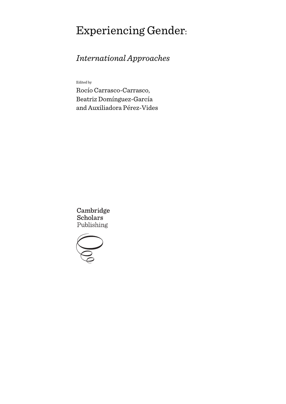# Experiencing Gender:

# *International Approaches*

Edited by Rocío Carrasco-Carrasco, Beatriz Domínguez-García and Auxiliadora Pérez-Vides

Cambridge **Scholars** Publishing

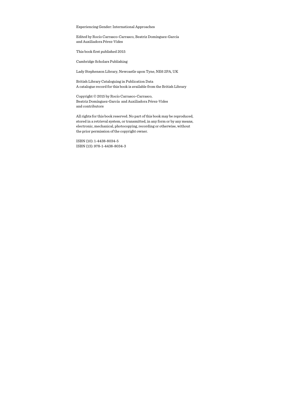Experiencing Gender: International Approaches

Edited by Rocío Carrasco-Carrasco, Beatriz Domínguez-García and Auxiliadora Pérez-Vides

This book first published 2015

Cambridge Scholars Publishing

Lady Stephenson Library, Newcastle upon Tyne, NE6 2PA, UK

British Library Cataloguing in Publication Data A catalogue record for this book is available from the British Library

Copyright © 2015 by Rocío Carrasco-Carrasco, Beatriz Domínguez-García and Auxiliadora Pérez-Vides and contributors

All rights for this book reserved. No part of this book may be reproduced, stored in a retrieval system, or transmitted, in any form or by any means, electronic, mechanical, photocopying, recording or otherwise, without the prior permission of the copyright owner.

ISBN (10): 1-4438-8034-5 ISBN (13): 978-1-4438-8034-3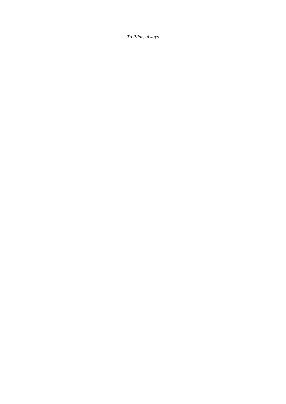*To Pilar, always*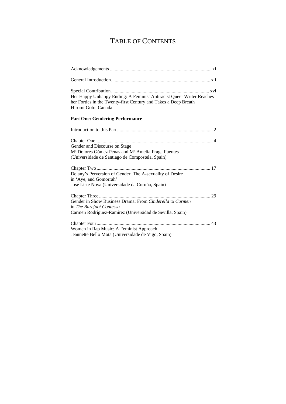# TABLE OF CONTENTS

| Her Happy Unhappy Ending: A Feminist Antiracist Queer Writer Reaches<br>her Forties in the Twenty-first Century and Takes a Deep Breath<br>Hiromi Goto, Canada |
|----------------------------------------------------------------------------------------------------------------------------------------------------------------|
| <b>Part One: Gendering Performance</b>                                                                                                                         |
|                                                                                                                                                                |
| Gender and Discourse on Stage<br>M <sup>ª</sup> Dolores Gómez Penas and M <sup>ª</sup> Amelia Fraga Fuentes<br>(Universidade de Santiago de Compostela, Spain) |
| Delany's Perversion of Gender: The A-sexuality of Desire<br>in 'Aye, and Gomorrah'<br>José Liste Noya (Universidade da Coruña, Spain)                          |
| Gender in Show Business Drama: From Cinderella to Carmen<br>in The Barefoot Contessa<br>Carmen Rodríguez-Ramírez (Universidad de Sevilla, Spain)               |
|                                                                                                                                                                |

Women in Rap Music: A Feminist Approach

Jeannette Bello Mota (Universidade de Vigo, Spain)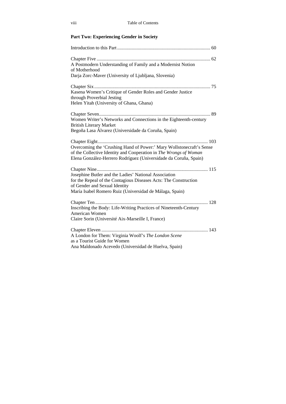### **Part Two: Experiencing Gender in Society**

| A Postmodern Understanding of Family and a Modernist Notion<br>of Motherhood                                                                                                                                          |
|-----------------------------------------------------------------------------------------------------------------------------------------------------------------------------------------------------------------------|
| Darja Zorc-Maver (University of Ljubljana, Slovenia)                                                                                                                                                                  |
| Kasena Women's Critique of Gender Roles and Gender Justice<br>through Proverbial Jesting<br>Helen Yitah (University of Ghana, Ghana)                                                                                  |
|                                                                                                                                                                                                                       |
| Women Writer's Networks and Connections in the Eighteenth-century<br><b>British Literary Market</b>                                                                                                                   |
| Begoña Lasa Álvarez (Universidade da Coruña, Spain)                                                                                                                                                                   |
| Overcoming the 'Crushing Hand of Power:' Mary Wollstonecraft's Sense<br>of the Collective Identity and Cooperation in The Wrongs of Woman<br>Elena González-Herrero Rodríguez (Universidade da Coruña, Spain)         |
|                                                                                                                                                                                                                       |
| Josephine Butler and the Ladies' National Association<br>for the Repeal of the Contagious Diseases Acts: The Construction<br>of Gender and Sexual Identity<br>María Isabel Romero Ruiz (Universidad de Málaga, Spain) |
|                                                                                                                                                                                                                       |
| Inscribing the Body: Life-Writing Practices of Nineteenth-Century<br>American Women                                                                                                                                   |
| Claire Sorin (Université Aix-Marseille I, France)                                                                                                                                                                     |
| A London for Them: Virginia Woolf's The London Scene<br>as a Tourist Guide for Women                                                                                                                                  |
| Ana Maldonado Acevedo (Universidad de Huelva, Spain)                                                                                                                                                                  |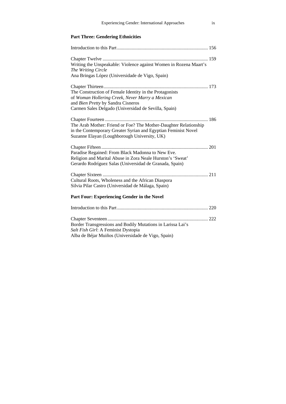#### **Part Three: Gendering Ethnicities**

| Writing the Unspeakable: Violence against Women in Rozena Maart's<br>The Writing Circle<br>Ana Bringas López (Universidade de Vigo, Spain)                                                               |
|----------------------------------------------------------------------------------------------------------------------------------------------------------------------------------------------------------|
| The Construction of Female Identity in the Protagonists<br>of Woman Hollering Creek, Never Marry a Mexican<br>and Bien Pretty by Sandra Cisneros<br>Carmen Sales Delgado (Universidad de Sevilla, Spain) |
| The Arab Mother: Friend or Foe? The Mother-Daughter Relationship<br>in the Contemporary Greater Syrian and Egyptian Feminist Novel<br>Suzanne Elayan (Loughborough University, UK)                       |
| Paradise Regained: From Black Madonna to New Eve.<br>Religion and Marital Abuse in Zora Neale Hurston's 'Sweat'<br>Gerardo Rodríguez Salas (Universidad de Granada, Spain)                               |
| Cultural Roots, Wholeness and the African Diaspora<br>Silvia Pilar Castro (Universidad de Málaga, Spain)                                                                                                 |
| Part Four: Experiencing Gender in the Novel                                                                                                                                                              |
|                                                                                                                                                                                                          |
| Border Transgressions and Bodily Mutations in Larissa Lai's<br>Salt Fish Girl: A Feminist Dystopia<br>Alba de Béjar Muiños (Universidade de Vigo, Spain)                                                 |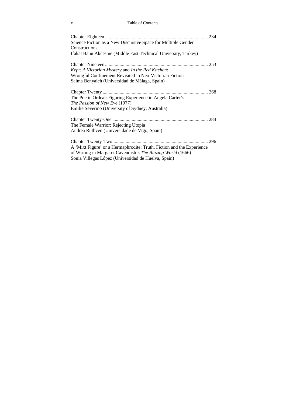#### x Table of Contents

| Science Fiction as a New Discursive Space for Multiple Gender<br>Constructions<br>Ifakat Banu Akcesme (Middle East Technical University, Turkey)                                            |  |
|---------------------------------------------------------------------------------------------------------------------------------------------------------------------------------------------|--|
| Kept: A Victorian Mystery and In the Red Kitchen:                                                                                                                                           |  |
| Wrongful Confinement Revisited in Neo-Victorian Fiction<br>Salma Benyaich (Universidad de Málaga, Spain)                                                                                    |  |
| The Poetic Ordeal: Figuring Experience in Angela Carter's<br>The Passion of New Eve (1977)<br>Emilie Severino (University of Sydney, Australia)                                             |  |
| The Female Warrior: Rejecting Utopia<br>Andrea Ruthven (Universidade de Vigo, Spain)                                                                                                        |  |
| A 'Mixt Figure' or a Hermaphrodite: Truth, Fiction and the Experience<br>of Writing in Margaret Cavendish's The Blazing World (1666)<br>Sonia Villegas López (Universidad de Huelva, Spain) |  |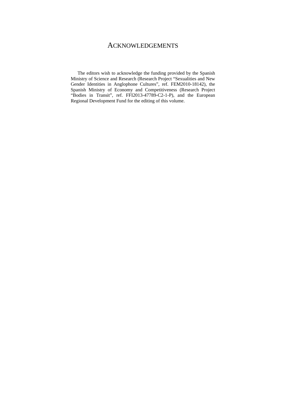## ACKNOWLEDGEMENTS

The editors wish to acknowledge the funding provided by the Spanish Ministry of Science and Research (Research Project "Sexualities and New Gender Identities in Anglophone Cultures", ref. FEM2010-18142), the Spanish Ministry of Economy and Competitiveness (Research Project "Bodies in Transit", ref. FFI2013-47789-C2-1-P), and the European Regional Development Fund for the editing of this volume.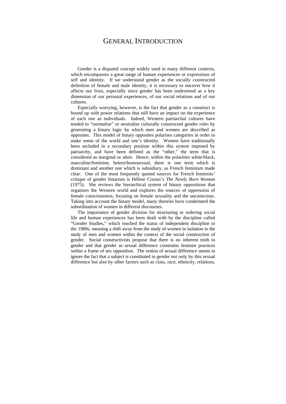## GENERAL INTRODUCTION

Gender is a disputed concept widely used in many different contexts, which encompasses a great range of human experiences or expressions of self and identity. If we understand gender as the socially constructed definition of female and male identity, it is necessary to uncover how it affects our lives, especially since gender has been understood as a key dimension of our personal experiences, of our social relations and of our cultures.

Especially worrying, however, is the fact that gender as a construct is bound up with power relations that still have an impact on the experience of each one as individuals. Indeed, Western patriarchal cultures have tended to "normalise" or neutralise culturally constructed gender roles by generating a binary logic by which men and women are described as opposites. This model of binary opposites polarises categories in order to make sense of the world and one's identity. Women have traditionally been secluded in a secondary position within this system imposed by patriarchy, and have been defined as the "other," the term that is considered as marginal or alien. Hence, within the polarities white/black, masculine/feminine, hetero/homosexual, there is one term which is dominant and another one which is subsidiary, as French feminism made clear. One of the most frequently quoted sources for French feminists' critique of gender binarism is Hélène Cixous's *The Newly Born Woman*  (1975). She reviews the hierarchical system of binary oppositions that organises the Western world and explores the sources of oppression of female consciousness, focusing on female sexuality and the unconscious. Taking into account the binary model, many theories have condemned the subordination of women in different discourses.

The importance of gender division for structuring or ordering social life and human experiences has been dealt with by the discipline called "Gender Studies," which reached the status of independent discipline in the 1980s, meaning a shift away from the study of women in isolation to the study of men and women within the context of the social construction of gender. Social constructivists propose that there is no inherent truth to gender and that gender as sexual difference constrains feminist practices within a frame of sex opposition. The notion of sexual difference seems to ignore the fact that a subject is constituted in gender not only by this sexual difference but also by other factors such as class, race, ethnicity, relations,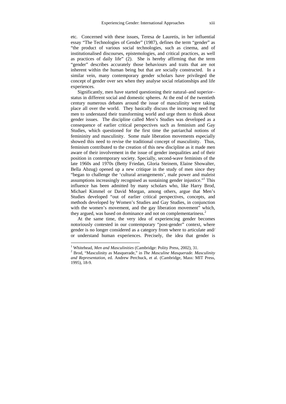etc. Concerned with these issues, Teresa de Lauretis, in her influential essay "The Technologies of Gender" (1987), defines the term "gender" as "the product of various social technologies, such as cinema, and of institutionalised discourses, epistemologies, and critical practices, as well as practices of daily life"  $(2)$ . She is hereby affirming that the term "gender" describes accurately those behaviours and traits that are not inherent within the human being but that are socially constructed. In a similar vein, many contemporary gender scholars have privileged the concept of gender over sex when they analyse social relationships and life experiences.

Significantly, men have started questioning their natural–and superior– status in different social and domestic spheres. At the end of the twentieth century numerous debates around the issue of masculinity were taking place all over the world. They basically discuss the increasing need for men to understand their transforming world and urge them to think about gender issues. The discipline called Men's Studies was developed as a consequence of earlier critical perspectives such as feminism and Gay Studies, which questioned for the first time the patriarchal notions of femininity and masculinity. Some male liberation movements especially showed this need to revise the traditional concept of masculinity. Thus, feminism contributed to the creation of this new discipline as it made men aware of their involvement in the issue of gender inequalities and of their position in contemporary society. Specially, second-wave feminists of the late 1960s and 1970s (Betty Friedan, Gloria Steinem, Elaine Showalter, Bella Abzug) opened up a new critique in the study of men since they "began to challenge the 'cultural arrangements', male power and maleist assumptions increasingly recognised as sustaining gender injustice."<sup>1</sup> This influence has been admitted by many scholars who, like Harry Brod, Michael Kimmel or David Morgan, among others, argue that Men's Studies developed "out of earlier critical perspectives, concepts, and methods developed by Women's Studies and Gay Studies, in conjunction with the women's movement, and the gay liberation movement" which, they argued, was based on dominance and not on complementariness.<sup>2</sup>

At the same time, the very idea of experiencing gender becomes notoriously contested in our contemporary "post-gender" context, where gender is no longer considered as a category from where to articulate and/ or understand human experiences. Precisely, the idea that gender is

<sup>&</sup>lt;sup>1</sup> Whitehead, *Men and Masculinities* (Cambridge: Polity Press, 2002), 31.<br><sup>2</sup> Brod *''Masculinity as Masquerade'' in The Masquine Masquerade*, *M* 

Brod, "Masculinity as Masquerade," in *The Masculine Masquerade. Masculinity and Representation*, ed. Andrew Perchuck, et al. (Cambridge, Mass: MIT Press, 1995), 18-9.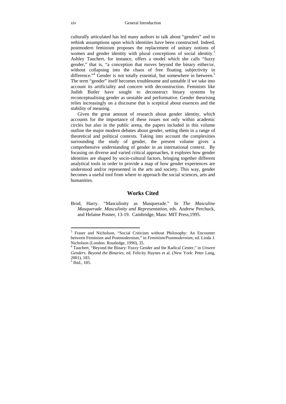culturally articulated has led many authors to talk about "genders" and to rethink assumptions upon which identities have been constructed. Indeed, postmodern feminism proposes the replacement of unitary notions of women and gender identity with plural conceptions of social identity.<sup>3</sup> Ashley Tauchert, for instance, offers a model which she calls "fuzzy gender," that is, "a conception that moves beyond the binary either/or, without collapsing into the chaos of free floating subjectivity in difference."<sup>4</sup> Gender is not totally essential, but somewhere in between.<sup>5</sup> The term "gender" itself becomes troublesome and unstable if we take into account its artificiality and concern with deconstruction. Feminists like Judith Butler have sought to deconstruct binary systems by reconceptualising gender as unstable and performative. Gender theorising relies increasingly on a discourse that is sceptical about essences and the stability of meaning.

Given the great amount of research about gender identity, which accounts for the importance of these issues not only within academic circles but also in the public arena, the papers included in this volume outline the major modern debates about gender, setting them in a range of theoretical and political contexts. Taking into account the complexities surrounding the study of gender, the present volume gives a comprehensive understanding of gender in an international context. By focusing on diverse and varied critical approaches, it explores how gender identities are shaped by socio-cultural factors, bringing together different analytical tools in order to provide a map of how gender experiences are understood and/or represented in the arts and society. This way, gender becomes a useful tool from where to approach the social sciences, arts and humanities.

#### **Works Cited**

Brod, Harry. "Masculinity as Masquerade." In *The Masculine Masquerade. Masculinity and Representation*, eds. Andrew Perchuck, and Helaine Posner, 13-19. Cambridge, Mass: MIT Press,1995.

<sup>&</sup>lt;sup>3</sup> Fraser and Nicholson, "Social Criticism without Philosophy: An Encounter between Feminism and Postmodernism," in *Feminism/Postmodernism*, ed. Linda J. Nicholson (London: Routledge, 1990), 35.

<sup>4</sup> Tauchert, "Beyond the Binary: Fuzzy Gender and the Radical Center," in *Unseen Genders. Beyond the Binaries*, ed. Felicity Haynes et al. (New York: Peter Lang, 2001), 183.

<sup>5</sup> Ibid., 185.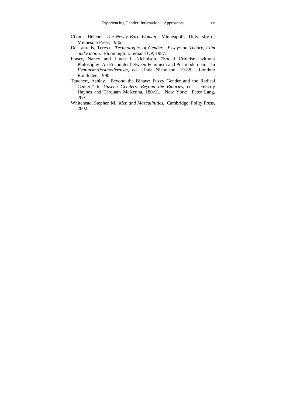- Cixous, Hélène. *The Newly Born Woman.* Minneapolis: University of Minnesota Press, 1986.
- De Lauretis, Teresa. *Technologies of Gender. Essays on Theory, Film and Fiction.* Bloomington: Indiana UP, 1987.
- Fraser, Nancy and Linda J. Nicholson. "Social Criticism without Philosophy: An Encounter between Feminism and Postmodernism." In *Feminism/Postmodernism*, ed. Linda Nicholson, 19-38. London: Routledge, 1990.
- Tauchert, Ashley. "Beyond the Binary: Fuzzy Gender and the Radical Center." In *Unseen Genders. Beyond the Binaries*, eds. Felicity Haynes and Tarquam McKenna, 180-91. New York: Peter Lang, 2001.
- Whitehead, Stephen M. *Men and Masculinities.* Cambridge: Polity Press, 2002.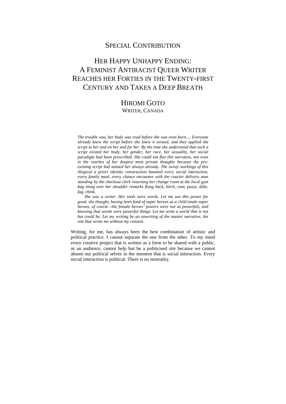## SPECIAL CONTRIBUTION

## HER HAPPY UNHAPPY ENDING: A FEMINIST ANTIRACIST QUEER WRITER REACHES HER FORTIES IN THE TWENTY-FIRST CENTURY AND TAKES A DEEP BREATH

## HIROMI GOTO WRITER, CANADA

*The trouble was, her body was read before she was even born…. Everyone already knew the script before she knew it existed, and they applied the script to her and on her and for her. By the time she understood that such a script existed her body, her gender, her race, her sexuality, her social paradigm had been prescribed. She could not flee this narrative, not even in the reaches of her deepest most private thoughts because the preexisting script had tainted her always already. The twisty workings of this illogical a priori identity construction haunted every social interaction, every family meal, every chance encounter with the courier delivery man standing by the checkout clerk returning her change room at the local gym bag slung over her shoulder remarks flung back, bitch, cunt, pussy, dyke, fag, chink.* 

*She was a writer. Her tools were words. Let me use this power for good, she thought, having been fond of super heroes as a child (male super heroes, of course –the female heroes' powers were not as powerful), and knowing that words were powerful things. Let me write a world that is not but could be. Let my writing be an unwriting of the master narrative, the one that wrote me without my consent.* 

Writing, for me, has always been the best combination of artistic and political practice. I cannot separate the one from the other. To my mind every creative project that is written as a form to be shared with a public, or an audience, cannot help but be a politicised site because we cannot absent our political selves in the moment that is social interaction. Every social interaction is political. There is no neutrality.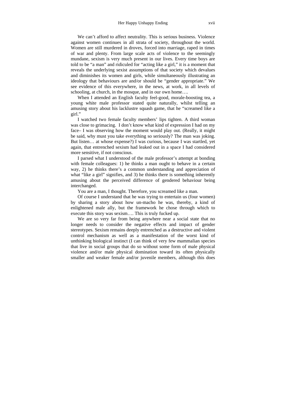We can't afford to affect neutrality. This is serious business. Violence against women continues in all strata of society, throughout the world. Women are still murdered in droves, forced into marriage, raped in times of war and plenty. From large scale acts of violence to the seemingly mundane, sexism is very much present in our lives. Every time boys are told to be "a man" and ridiculed for "acting like a girl," it is a moment that reveals the underlying sexist assumptions of that society which devalues and diminishes its women and girls, while simultaneously illustrating an ideology that behaviours are and/or should be "gender appropriate." We see evidence of this everywhere, in the news, at work, in all levels of schooling, at church, in the mosque, and in our own home….

When I attended an English faculty feel-good, morale-boosting tea, a young white male professor stated quite naturally, whilst telling an amusing story about his lacklustre squash game, that he "screamed like a girl."

I watched two female faculty members' lips tighten. A third woman was close to grimacing. I don't know what kind of expression I had on my face– I was observing how the moment would play out. (Really, it might be said, why must you take everything so seriously? The man was joking. But listen… at whose expense?) I was curious, because I was startled, yet again, that entrenched sexism had leaked out in a space I had considered more sensitive, if not conscious.

I parsed what I understood of the male professor's attempt at bonding with female colleagues: 1) he thinks a man ought to behave in a certain way, 2) he thinks there's a common understanding and appreciation of what "like a girl" signifies, and 3) he thinks there is something inherently amusing about the perceived difference of gendered behaviour being interchanged.

You are a man, I thought. Therefore, you screamed like a man.

Of course I understand that he was trying to entertain us (four women) by sharing a story about how un-macho he was, thereby, a kind of enlightened male ally, but the framework he chose through which to execute this story was sexism…. This is truly fucked up.

We are so very far from being anywhere near a social state that no longer needs to consider the negative effects and impact of gender stereotypes. Sexism remains deeply entrenched as a destructive and violent control mechanism as well as a manifestation of the worst kind of unthinking biological instinct (I can think of very few mammalian species that live in social groups that do so without some form of male physical violence and/or male physical domination toward its often physically smaller and weaker female and/or juvenile members, although this does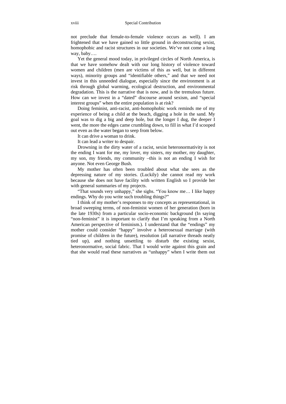not preclude that female-to-female violence occurs as well). I am frightened that we have gained so little ground in deconstructing sexist, homophobic and racist structures in our societies. We've not come a long way, baby….

Yet the general mood today, in privileged circles of North America, is that we have somehow dealt with our long history of violence toward women and children (men are victims of this as well, but in different ways), minority groups and "identifiable others," and that we need not invest in this unneeded dialogue, especially since the environment is at risk through global warming, ecological destruction, and environmental degradation. This is the narrative that is now, and is the tremulous future. How can we invest in a "dated" discourse around sexism, and "special interest groups" when the entire population is at risk?

Doing feminist, anti-racist, anti-homophobic work reminds me of my experience of being a child at the beach, digging a hole in the sand. My goal was to dig a big and deep hole, but the longer I dug, the deeper I went, the more the edges came crumbling down, to fill in what I'd scooped out even as the water began to seep from below.

It can drive a woman to drink.

It can lead a writer to despair.

Drowning in the dirty water of a racist, sexist heteronormativity is not the ending I want for me, my lover, my sisters, my mother, my daughter, my son, my friends, my community –this is not an ending I wish for anyone. Not even George Bush.

My mother has often been troubled about what she sees as the depressing nature of my stories. (Luckily) she cannot read my work because she does not have facility with written English so I provide her with general summaries of my projects.

"That sounds very unhappy," she sighs. "You know me… I like happy endings. Why do you write such troubling things?"

I think of my mother's responses to my concepts as representational, in broad sweeping terms, of non-feminist women of her generation (born in the late 1930s) from a particular socio-economic background (In saying "non-feminist" it is important to clarify that I'm speaking from a North American perspective of feminism.). I understand that the "endings" my mother could consider "happy" involve a heterosexual marriage (with promise of children in the future), resolution (all narrative threads neatly tied up), and nothing unsettling to disturb the existing sexist, heteronormative, social fabric. That I would write against this grain and that she would read these narratives as "unhappy" when I write them out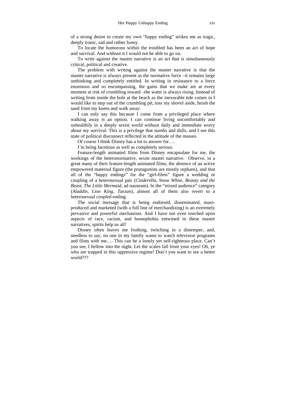of a strong desire to create my own "happy ending" strikes me as tragic, deeply ironic, sad and rather funny.

To locate the humorous within the troubled has been an act of hope and survival. And without it I would not be able to go on.

To write against the master narrative is an act that is simultaneously critical, political and creative.

The problem with writing against the master narrative is that the master narrative is always present as the normative force –it remains large unthinking and completely entitled. In writing in resistance to a force enormous and so encompassing, the gains that we make are at every moment at risk of crumbling inward –the water is always rising. Instead of writing from inside the hole at the beach as the inexorable tide comes in I would like to step out of the crumbling pit, toss my shovel aside, brush the sand from my knees and walk away.

I can only say this because I come from a privileged place where walking away is an option. I can continue living uncomfortably and unhealthily in a deeply sexist world without daily and immediate worry about my survival. This is a privilege that numbs and dulls, and I see this state of political disconnect reflected in the attitude of the masses.

Of course I think Disney has a lot to answer for….

I'm being facetious as well as completely serious.

Feature-length animated films from Disney encapsulate for me, the workings of the heteronormative, sexist master narrative. Observe, in a great many of their feature-length animated films, the absence of an active empowered maternal figure (the protagonists are mostly orphans), and that all of the "happy endings" for the "girl-films" figure a wedding or coupling of a heterosexual pair (*Cinderella, Snow White, Beauty and the Beast, The Little Mermaid*, ad nauseam). In the "mixed audience" category (*Aladdin, Lion King, Tarzan*), almost all of them also revert to a heterosexual coupled ending.

The social message that is being endorsed, disseminated, massproduced and marketed (with a full line of merchandizing) is an extremely pervasive and powerful mechanism. And I have not even touched upon aspects of race, racism, and homophobia entwined in these master narratives, spirits help us all!

Disney often leaves me frothing, twitching in a distemper, and, needless to say, no one in my family wants to watch television programs and films with me…. This can be a lonely yet self-righteous place. Can't you see, I bellow into the night. Let the scales fall from your eyes! Oh, ye who are trapped in this oppressive regime! Don't you want to see a better world???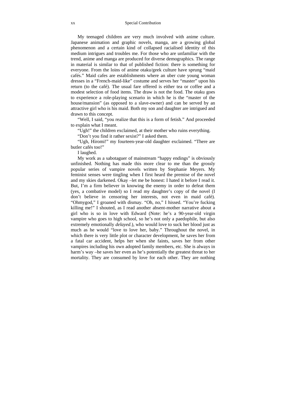My teenaged children are very much involved with anime culture. Japanese animation and graphic novels, manga, are a growing global phenomenon and a certain kind of collapsed racialised identity of this medium intrigues and troubles me. For those who are unfamiliar with the trend, anime and manga are produced for diverse demographics. The range in material is similar to that of published fiction: there is something for everyone. From the loins of anime otaku/geek culture have sprung "maid cafés." Maid cafes are establishments where an uber cute young woman dresses in a "French-maid-like" costume and serves her "master" upon his return (to the café). The usual fare offered is either tea or coffee and a modest selection of food items. The draw is not the food. The otaku goes to experience a role-playing scenario in which he is the "master of the house/mansion" (as opposed to a slave-owner) and can be served by an attractive girl who is his maid. Both my son and daughter are intrigued and drawn to this concept.

"Well, I said, "you realize that this is a form of fetish." And proceeded to explain what I meant.

"Ugh!" the children exclaimed, at their mother who ruins everything.

"Don't you find it rather sexist?" I asked them.

"Ugh, Hiromi!" my fourteen-year-old daughter exclaimed. "There are butler cafés too!"

I laughed.

My work as a sabotaguer of mainstream "happy endings" is obviously unfinished. Nothing has made this more clear to me than the grossly popular series of vampire novels written by Stephanie Meyers. My feminist senses were tingling when I first heard the premise of the novel and my skies darkened. Okay –let me be honest: I hated it before I read it. But, I'm a firm believer in knowing the enemy in order to defeat them (yes, a combative model) so I read my daughter's copy of the novel (I don't believe in censoring her interests, not even in maid café). "Ohmygod," I groaned with dismay. "Oh, no," I hissed. "You're fucking killing me!" I shouted, as I read another absent-mother narrative about a girl who is so in love with Edward (Note: he's a 90-year-old virgin vampire who goes to high school, so he's not only a paedophile, but also extremely emotionally *delayed*.), who would love to suck her blood just as much as he would "love to love her, baby." Throughout the novel, in which there is very little plot or character development, he saves her from a fatal car accident, helps her when she faints, saves her from other vampires including his own adopted family members, etc. She is always in harm's way –he saves her even as he's potentially the greatest threat to her mortality. They are consumed by love for each other. They are nothing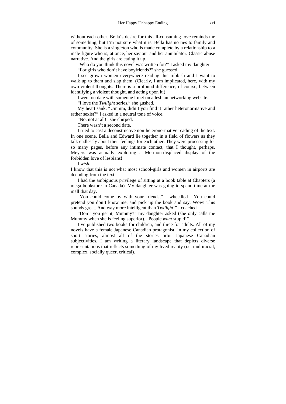without each other. Bella's desire for this all-consuming love reminds me of something, but I'm not sure what it is. Bella has no ties to family and community. She is a singleton who is made complete by a relationship to a male figure who is, at once, her saviour and her annihilator. Classic abuse narrative. And the girls are eating it up.

"Who do you think this novel was written for?" I asked my daughter.

"For girls who don't have boyfriends?" she guessed.

I see grown women everywhere reading this rubbish and I want to walk up to them and slap them. (Clearly, I am implicated, here, with my own violent thoughts. There is a profound difference, of course, between identifying a violent thought, and acting upon it.)

I went on date with someone I met on a lesbian networking website.

"I love the *Twilight* series," she gushed.

My heart sank. "Ummm, didn't you find it rather heteronormative and rather sexist?" I asked in a neutral tone of voice.

"No, not at all!" she chirped.

There wasn't a second date.

I tried to cast a deconstructive non-heteronormative reading of the text. In one scene, Bella and Edward lie together in a field of flowers as they talk endlessly about their feelings for each other. They were processing for so many pages, before any intimate contact, that I thought, perhaps, Meyers was actually exploring a Mormon-displaced display of the forbidden love of lesbians!

I *wish*.

I know that this is not what most school-girls and women in airports are decoding from the text.

I had the ambiguous privilege of sitting at a book table at Chapters (a mega-bookstore in Canada). My daughter was going to spend time at the mall that day.

"You could come by with your friends," I wheedled. "You could pretend you don't know me, and pick up the book and say, Wow! This sounds great. And way more intelligent than *Twilight*!" I coached.

"Don't you get it, Mummy?" my daughter asked (she only calls me Mummy when she is feeling superior). "People *want* stupid!"

I've published two books for children, and three for adults. All of my novels have a female Japanese Canadian protagonist. In my collection of short stories, almost all of the stories orbit Japanese Canadian subjectivities. I am writing a literary landscape that depicts diverse representations that reflects something of my lived reality (i.e. multiracial, complex, socially queer, critical).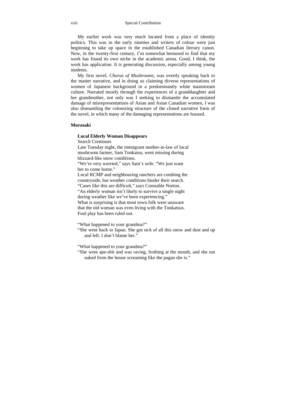My earlier work was very much located from a place of identity politics. This was in the early nineties and writers of colour were just beginning to take up space in the established Canadian literary canon. Now, in the twenty-first century, I'm somewhat bemused to find that my work has found its own niche in the academic arena. Good, I think, the work has application. It is generating discussion, especially among young students.

My first novel, *Chorus of Mushrooms*, was overtly speaking back to the master narrative, and in doing so claiming diverse representations of women of Japanese background in a predominantly white mainstream culture. Narrated mostly through the experiences of a granddaughter and her grandmother, not only was I seeking to dismantle the accumulated damage of misrepresentations of Asian and Asian Canadian women, I was also dismantling the colonizing structure of the closed narrative form of the novel, in which many of the damaging representations are housed.

#### **Murasaki**

#### **Local Elderly Woman Disappears**

Search Continues

Late Tuesday night, the immigrant mother-in-law of local mushroom farmer, Sam Tonkatsu, went missing during blizzard-like snow conditions.

"We're very worried," says Sam's wife. "We just want her to come home."

Local RCMP and neighbouring ranchers are combing the countryside, but weather conditions hinder their search. "Cases like this are difficult," says Constable Norton. "An elderly woman isn't likely to survive a single night during weather like we've been experiencing." What is surprising is that most town folk were unaware that the old woman was even living with the Tonkatsus. Foul play has been ruled out.

"What happened to your grandma?"

"She went back to Japan. She got sick of all this snow and dust and up and left. I don't blame her."

"What happened to your grandma?"

"She went ape-shit and was raving, frothing at the mouth, and she ran naked from the house screaming like the pagan she is."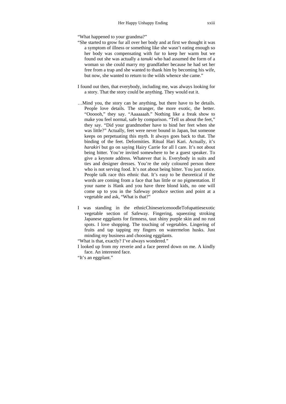"What happened to your grandma?"

"She started to grow fur all over her body and at first we thought it was a symptom of illness or something like she wasn't eating enough so her body was compensating with fur to keep her warm but we found out she was actually a *tanuki* who had assumed the form of a woman so she could marry my grandfather because he had set her free from a trap and she wanted to thank him by becoming his wife, but now, she wanted to return to the wilds whence she came."

- I found out then, that everybody, including me, was always looking for a story. That the story could be anything. They would eat it.
- …Mind you, the story can be anything, but there have to be details. People love details. The stranger, the more exotic, the better. "Oooooh," they say. "Aaaaaaah." Nothing like a freak show to make you feel normal, safe by comparison. "Tell us about the feet," they say. "Did your grandmother have to bind her feet when she was little?" Actually, feet were never bound in Japan, but someone keeps on perpetuating this myth. It always goes back to that. The binding of the feet. Deformities. Ritual Hari Kari. Actually, it's *harakiri* but go on saying Hairy Carrie for all I care. It's not about being bitter. You're invited somewhere to be a guest speaker. To give a keynote address. Whatever that is. Everybody in suits and ties and designer dresses. You're the only coloured person there who is not serving food. It's not about being bitter. You just notice. People talk race this ethnic that. It's easy to be theoretical if the words are coming from a face that has little or no pigmentation. If your name is Hank and you have three blond kids, no one will come up to you in the Safeway produce section and point at a vegetable and ask, "What is that?"
- I was standing in the ethnicChinesericenoodleTofupattiesexotic vegetable section of Safeway. Fingering, squeezing stroking Japanese eggplants for firmness, taut shiny purple skin and no rust spots. I love shopping. The touching of vegetables. Lingering of fruits and tap tapping my fingers on watermelon husks. Just minding my business and choosing eggplants.

"What is that, exactly? I've always wondered."

I looked up from my reverie and a face peered down on me. A kindly face. An interested face.

"It's an eggplant."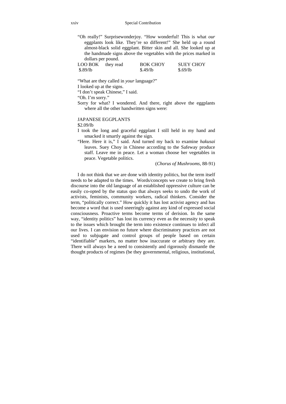"Oh really!" Surprisewonderjoy. "How wonderful! This is what *our* eggplants look like. They're so different!" She held up a round almost-black solid eggplant. Bitter skin and all. She looked up at the handmade signs above the vegetables with the prices marked in dollars per pound.

| <b>LOO BOK</b> | they read | <b>BOK CHOY</b> | <b>SUEY CHOY</b> |
|----------------|-----------|-----------------|------------------|
| \$.89/lb       |           | \$.49/lb        | \$.69/lb         |

"What are they called in *your* language?"

I looked up at the signs.

"I don't speak Chinese," I said.

"Oh. I'm sorry."

Sorry for what? I wondered. And there, right above the eggplants where all the other handwritten signs were:

#### JAPANESE EGGPLANTS

\$2.09/lb

- I took the long and graceful eggplant I still held in my hand and smacked it smartly against the sign.
- "Here. Here it is," I said. And turned my back to examine *hakusai* leaves. Suey Choy in Chinese according to the Safeway produce staff. Leave me in peace. Let a woman choose her vegetables in peace. Vegetable politics.

(*Chorus of Mushrooms,* 88-91)

I do not think that we are done with identity politics, but the term itself needs to be adapted to the times. Words/concepts we create to bring fresh discourse into the old language of an established oppressive culture can be easily co-opted by the status quo that always seeks to undo the work of activists, feminists, community workers, radical thinkers. Consider the term, "politically correct." How quickly it has lost activist agency and has become a word that is used sneeringly against any kind of expressed social consciousness. Proactive terms become terms of derision. In the same way, "identity politics" has lost its currency even as the necessity to speak to the issues which brought the term into existence continues to infect all our lives. I can envision no future where discriminatory practices are not used to subjugate and control groups of people based on certain "identifiable" markers, no matter how inaccurate or arbitrary they are. There will always be a need to consistently and rigorously dismantle the thought products of regimes (be they governmental, religious, institutional,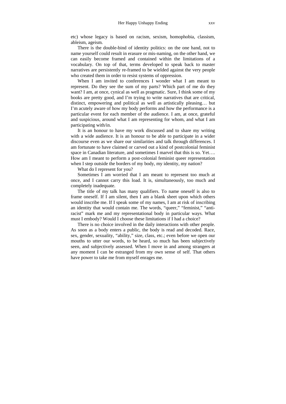etc) whose legacy is based on racism, sexism, homophobia, classism, ableism, ageism.

There is the double-bind of identity politics: on the one hand, not to name yourself could result in erasure or mis-naming, on the other hand, we can easily become framed and contained within the limitations of a vocabulary. On top of that, terms developed to speak back to master narratives are persistently re-framed to be wielded against the very people who created them in order to resist systems of oppression.

When I am invited to conferences I wonder what I am meant to represent. Do they see the sum of my parts? Which part of me do they want? I am, at once, cynical as well as pragmatic. Sure, I think some of my books are pretty good, and I'm trying to write narratives that are critical, distinct, empowering and political as well as artistically pleasing… but I'm acutely aware of how my body performs and how the performance is a particular event for each member of the audience. I am, at once, grateful and suspicious, around what I am representing for whom, and what I am participating with/in.

It is an honour to have my work discussed and to share my writing with a wide audience. It is an honour to be able to participate in a wider discourse even as we share our similarities and talk through differences. I am fortunate to have claimed or carved out a kind of postcolonial feminist space in Canadian literature, and sometimes I marvel that this is so. Yet…. How am I meant to perform a post-colonial feminist queer representation when I step outside the borders of my body, my identity, my nation?

What do I represent for you?

Sometimes I am worried that I am meant to represent too much at once, and I cannot carry this load. It is, simultaneously, too much and completely inadequate.

The title of my talk has many qualifiers. To name oneself is also to frame oneself. If I am silent, then I am a blank sheet upon which others would inscribe me. If I speak some of my names, I am at risk of inscribing an identity that would contain me. The words, "queer," "feminist," "antiracist" mark me and my representational body in particular ways. What must I embody? Would I choose these limitations if I had a choice?

There is no choice involved in the daily interactions with other people. As soon as a body enters a public, the body is read and decoded. Race, sex, gender, sexuality, "ability," size, class, etc.; even before we open our mouths to utter our words, to be heard, so much has been subjectively seen, and subjectively assessed. When I move in and among strangers at any moment I can be estranged from my own sense of self. That others have power to take me from myself enrages me.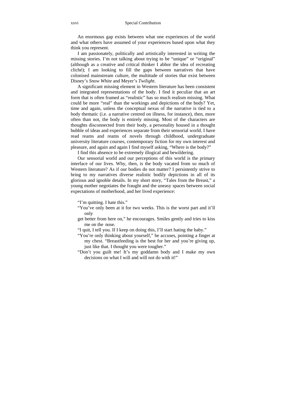An enormous gap exists between what one experiences of the world and what others have assumed of your experiences based upon what they think you represent.

I am passionately, politically and artistically interested in writing the missing stories. I'm not talking about trying to be "unique" or "original" (although as a creative and critical thinker I abhor the idea of recreating cliché); I am looking to fill the gaps between narratives that have colonised mainstream culture, the multitude of stories that exist between Disney's *Snow White* and Meyer's *Twilight*.

A significant missing element in Western literature has been consistent and integrated representations of the body. I find it peculiar that an art form that is often framed as "realistic" has so much realism missing. What could be more "real" than the workings and depictions of the body? Yet, time and again, unless the conceptual nexus of the narrative is tied to a body thematic (i.e. a narrative centred on illness, for instance), then, more often than not, the body is entirely missing. Most of the characters are thoughts disconnected from their body, a personality housed in a thought bubble of ideas and experiences separate from their sensorial world. I have read reams and reams of novels through childhood, undergraduate university literature courses, contemporary fiction for my own interest and pleasure, and again and again I find myself asking, "Where is the body?"

I find this absence to be extremely illogical and bewildering.

Our sensorial world and our perceptions of this world is the primary interface of our lives. Why, then, is the body vacated from so much of Western literature? As if our bodies do not matter? I persistently strive to bring to my narratives diverse realistic bodily depictions in all of its glorious and ignoble details. In my short story, "Tales from the Breast," a young mother negotiates the fraught and the uneasy spaces between social expectations of motherhood, and her lived experience:

"I'm quitting. I hate this."

- "You've only been at it for two weeks. This is the worst part and it'll only
- get better from here on," he encourages. Smiles gently and tries to kiss me on the nose.
- "I quit, I tell you. If I keep on doing this, I'll start hating the baby."
- "You're only thinking about yourself," he accuses, pointing a finger at my chest. "Breastfeeding is the best for her and you're giving up, just like that. I thought you were tougher."
- "Don't you guilt me! It's my goddamn body and I make my own decisions on what I will and will not do with it!"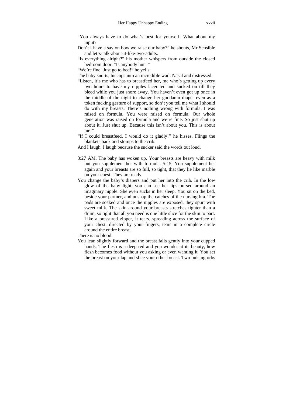- "You always have to do what's best for yourself! What about my input?
- Don't I have a say on how we raise our baby?" he shouts, Mr Sensible and let's-talk-about-it-like-two-adults.
- "Is everything alright?" his mother whispers from outside the closed bedroom door. "Is anybody hun–"

"We're fine! Just go to bed!" he yells.

- The baby snorts, hiccups into an incredible wail. Nasal and distressed.
- "Listen, it's me who has to breastfeed her, me who's getting up every two hours to have my nipples lacerated and sucked on till they bleed while you just snore away. You haven't even got up once in the middle of the night to change her goddamn diaper even as a token fucking gesture of support, so don't you tell me what I should do with my breasts. There's nothing wrong with formula. I was raised on formula. You were raised on formula. Our whole generation was raised on formula and we're fine. So just shut up about it. Just shut up. Because this isn't about you. This is about me!"
- "If I could breastfeed, I would do it gladly!" he hisses. Flings the blankets back and stomps to the crib.
- And I laugh. I laugh because the sucker said the words out loud.
- 3:27 AM. The baby has woken up. Your breasts are heavy with milk but you supplement her with formula. 5:15. You supplement her again and your breasts are so full, so tight, that they lie like marble on your chest. They are ready.
- You change the baby's diapers and put her into the crib. In the low glow of the baby light, you can see her lips pursed around an imaginary nipple. She even sucks in her sleep. You sit on the bed, beside your partner, and unsnap the catches of the nursing bra. The pads are soaked and once the nipples are exposed, they spurt with sweet milk. The skin around your breasts stretches tighter than a drum, so tight that all you need is one little slice for the skin to part. Like a pressured zipper, it tears, spreading across the surface of your chest, directed by your fingers, tears in a complete circle around the entire breast.

There is no blood.

You lean slightly forward and the breast falls gently into your cupped hands. The flesh is a deep red and you wonder at its beauty, how flesh becomes food without you asking or even wanting it. You set the breast on your lap and slice your other breast. Two pulsing orbs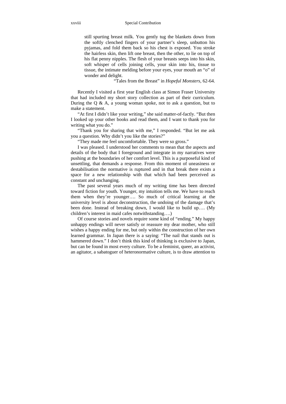still spurting breast milk. You gently tug the blankets down from the softly clenched fingers of your partner's sleep, unbutton his pyjamas, and fold them back so his chest is exposed. You stroke the hairless skin, then lift one breast, then the other, to lie on top of his flat penny nipples. The flesh of your breasts seeps into his skin, soft whisper of cells joining cells, your skin into his, tissue to tissue, the intimate melding before your eyes, your mouth an "o" of wonder and delight.

"Tales from the Breast" in *Hopeful Monsters,* 62-64.

Recently I visited a first year English class at Simon Fraser University that had included my short story collection as part of their curriculum. During the  $\overline{O} \& A$ , a young woman spoke, not to ask a question, but to make a statement.

"At first I didn't like your writing," she said matter-of-factly. "But then I looked up your other books and read them, and I want to thank you for writing what you do."

"Thank you for sharing that with me," I responded. "But let me ask you a question. Why didn't you like the stories?"

"They made me feel uncomfortable. They were so gross."

I was pleased. I understood her comments to mean that the aspects and details of the body that I foreground and integrate in my narratives were pushing at the boundaries of her comfort level. This is a purposeful kind of unsettling, that demands a response. From this moment of uneasiness or destabilisation the normative is ruptured and in that break there exists a space for a new relationship with that which had been perceived as constant and unchanging.

The past several years much of my writing time has been directed toward fiction for youth. Younger, my intuition tells me. We have to reach them when they're younger…. So much of critical learning at the university level is about deconstruction, the undoing of the damage that's been done. Instead of breaking down, I would like to build up…. (My children's interest in maid cafes notwithstanding….)

Of course stories and novels require some kind of "ending." My happy unhappy endings will never satisfy or reassure my dear mother, who still wishes a happy ending for me, but only within the construction of her own learned grammar. In Japan there is a saying: "The nail that stands out is hammered down." I don't think this kind of thinking is exclusive to Japan, but can be found in most every culture. To be a feminist, queer, an activist, an agitator, a sabatoguer of heteronormative culture, is to draw attention to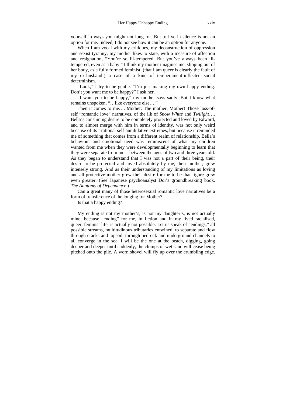yourself in ways you might not long for. But to live in silence is not an option for me. Indeed, I do not see how it can be an option for anyone.

When I am vocal with my critiques, my deconstruction of oppression and sexist tyranny, my mother likes to state, with a measure of affection and resignation, "You're so ill-tempered. But you've always been illtempered, even as a baby." I think my mother imagines me, slipping out of her body, as a fully formed feminist, (that I am queer is clearly the fault of my ex-husband!) a case of a kind of temperament-inflected social determinism.

"Look," I try to be gentle. "I'm just making my own happy ending. Don't you want me to be happy?" I ask her.

"I want you to be happy," my mother says sadly. But I know what remains unspoken, "…like everyone else…."

Then it comes to me…. Mother. The mother. Mother! Those loss-ofself "romantic love" narratives, of the ilk of *Snow White* and *Twilight*…. Bella's consuming desire to be completely protected and loved by Edward, and to almost merge with him in terms of identity, was not only weird because of its irrational self-annihilative extremes, but because it reminded me of something that comes from a different realm of relationship. Bella's behaviour and emotional need was reminiscent of what my children wanted from me when they were developmentally beginning to learn that they were separate from me – between the ages of two and three years old. As they began to understand that I was not a part of their being, their desire to be protected and loved absolutely by me, their mother, grew intensely strong. And as their understanding of my limitations as loving and all-protective mother grew their desire for me to be that figure grew even greater. (See Japanese psychoanalyst Doi's groundbreaking book, *The Anatomy of Dependence*.)

Can a great many of those heterosexual romantic love narratives be a form of transference of the longing for Mother?

Is that a happy ending?

My ending is not my mother's, is not my daughter's, is not actually mine, because "ending" for me, in fiction and in my lived racialised, queer, feminist life, is actually not possible. Let us speak of "endings," all possible streams, multitudinous tributaries entwined, to separate and flow through cracks and topsoil, through bedrock and underground channels to all converge in the sea. I will be the one at the beach, digging, going deeper and deeper until suddenly, the clumps of wet sand will cease being pitched onto the pile. A worn shovel will fly up over the crumbling edge.